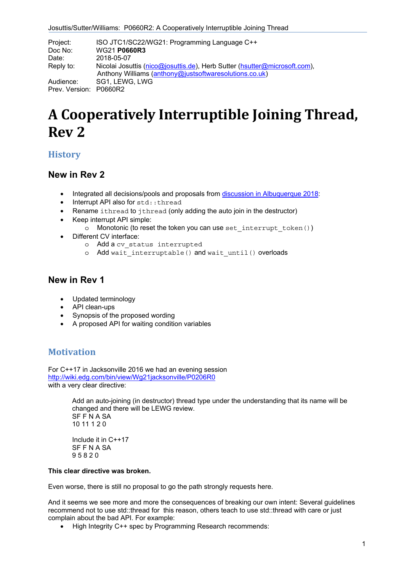| Project:<br>Doc No:    | ISO JTC1/SC22/WG21: Programming Language C++<br><b>WG21 P0660R3</b>                                                                 |
|------------------------|-------------------------------------------------------------------------------------------------------------------------------------|
| Date:                  | 2018-05-07                                                                                                                          |
| Reply to:              | Nicolai Josuttis (nico@josuttis.de), Herb Sutter (hsutter@microsoft.com),<br>Anthony Williams (anthony@justsoftwaresolutions.co.uk) |
| Audience:              | SG1, LEWG, LWG                                                                                                                      |
| Prev. Version: P0660R2 |                                                                                                                                     |

# **A Cooperatively Interruptible Joining Thread, Rev 2**

## **History**

## **New in Rev 2**

- Integrated all decisions/pools and proposals from discussion in Albuquerque 2018:
- Interrupt API also for std::thread
- Rename ithread to jthread (only adding the auto join in the destructor)
- Keep interrupt API simple:
	- $\circ$  Monotonic (to reset the token you can use set interrupt token())
- Different CV interface:
	- o Add a cv\_status interrupted
	- o Add wait interruptable() and wait until() overloads

# **New in Rev 1**

- Updated terminology
- API clean-ups
- Synopsis of the proposed wording
- A proposed API for waiting condition variables

# **Motivation**

For C++17 in Jacksonville 2016 we had an evening session http://wiki.edg.com/bin/view/Wg21jacksonville/P0206R0 with a very clear directive:

> Add an auto-joining (in destructor) thread type under the understanding that its name will be changed and there will be LEWG review. SF F N A SA 10 11 1 2 0 Include it in C++17 SF F N A SA 9 5 8 2 0

## **This clear directive was broken.**

Even worse, there is still no proposal to go the path strongly requests here.

And it seems we see more and more the consequences of breaking our own intent: Several guidelines recommend not to use std::thread for this reason, others teach to use std::thread with care or just complain about the bad API. For example:

• High Integrity C++ spec by Programming Research recommends: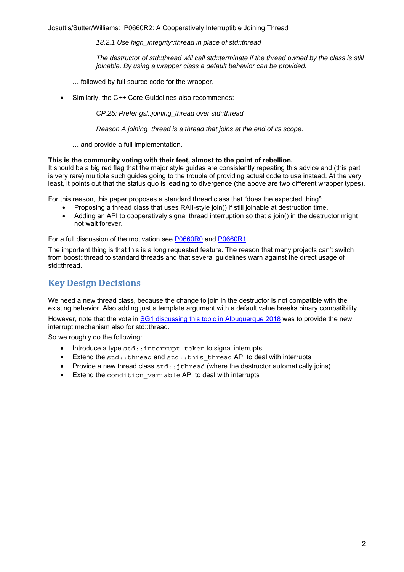*18.2.1 Use high\_integrity::thread in place of std::thread* 

*The destructor of std::thread will call std::terminate if the thread owned by the class is still joinable. By using a wrapper class a default behavior can be provided.* 

- … followed by full source code for the wrapper.
- Similarly, the C++ Core Guidelines also recommends:

*CP.25: Prefer gsl::joining\_thread over std::thread* 

*Reason A joining\_thread is a thread that joins at the end of its scope.* 

… and provide a full implementation.

### **This is the community voting with their feet, almost to the point of rebellion.**

It should be a big red flag that the major style guides are consistently repeating this advice and (this part is very rare) multiple such guides going to the trouble of providing actual code to use instead. At the very least, it points out that the status quo is leading to divergence (the above are two different wrapper types).

For this reason, this paper proposes a standard thread class that "does the expected thing":

- Proposing a thread class that uses RAII-style join() if still joinable at destruction time.
- Adding an API to cooperatively signal thread interruption so that a join() in the destructor might not wait forever.

For a full discussion of the motivation see P0660R0 and P0660R1.

The important thing is that this is a long requested feature. The reason that many projects can't switch from boost::thread to standard threads and that several guidelines warn against the direct usage of std::thread.

# **Key Design Decisions**

We need a new thread class, because the change to join in the destructor is not compatible with the existing behavior. Also adding just a template argument with a default value breaks binary compatibility.

However, note that the vote in SG1 discussing this topic in Albuquerque 2018 was to provide the new interrupt mechanism also for std::thread.

So we roughly do the following:

- Introduce a type std::interrupt token to signal interrupts
- Extend the  $std:$ : thread and  $std:$ : this thread API to deal with interrupts
- Provide a new thread class  $std:$ : $ithead$  (where the destructor automatically joins)
- Extend the condition variable API to deal with interrupts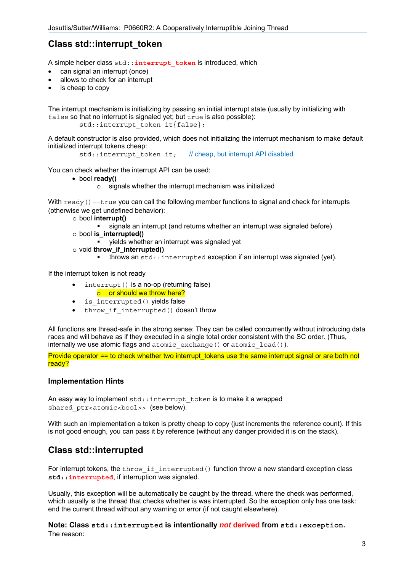# **Class std::interrupt\_token**

A simple helper class std::**interrupt\_token** is introduced, which

- can signal an interrupt (once)
- allows to check for an interrupt
- is cheap to copy

The interrupt mechanism is initializing by passing an initial interrupt state (usually by initializing with false so that no interrupt is signaled yet; but true is also possible): std::interrupt\_token it{false};

A default constructor is also provided, which does not initializing the interrupt mechanism to make default initialized interrupt tokens cheap:

std::interrupt\_token\_it; // cheap, but interrupt API disabled

You can check whether the interrupt API can be used:

• bool **ready()**

o signals whether the interrupt mechanism was initialized

With  $\text{ready}( ) = \text{true}$  you can call the following member functions to signal and check for interrupts (otherwise we get undefined behavior):

- o bool **interrupt()** 
	- signals an interrupt (and returns whether an interrupt was signaled before)
- o bool **is\_interrupted()** 
	- yields whether an interrupt was signaled yet
- o void **throw\_if\_interrupted()** 
	- $\blacksquare$  throws an  $std:$ : interrupted exception if an interrupt was signaled (yet).

If the interrupt token is not ready

- interrupt() is a no-op (returning false)
- o or should we throw here?
- is interrupted() yields false
- throw if interrupted() doesn't throw

All functions are thread-safe in the strong sense: They can be called concurrently without introducing data races and will behave as if they executed in a single total order consistent with the SC order. (Thus, internally we use atomic flags and atomic exchange() or atomic load()).

Provide operator == to check whether two interrupt tokens use the same interrupt signal or are both not ready?

## **Implementation Hints**

An easy way to implement std::interrupt token is to make it a wrapped shared ptr<atomic<bool>> (see below).

With such an implementation a token is pretty cheap to copy (just increments the reference count). If this is not good enough, you can pass it by reference (without any danger provided it is on the stack).

# **Class std::interrupted**

For interrupt tokens, the throw if interrupted() function throw a new standard exception class **std::interrupted**, if interruption was signaled.

Usually, this exception will be automatically be caught by the thread, where the check was performed, which usually is the thread that checks whether is was interrupted. So the exception only has one task: end the current thread without any warning or error (if not caught elsewhere).

**Note: Class std::interrupted is intentionally** *not* **derived from std::exception.** The reason: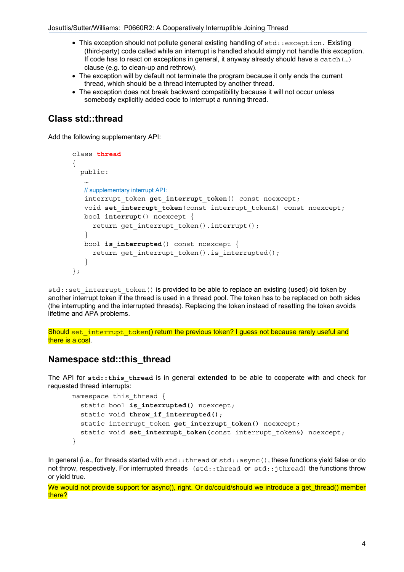- This exception should not pollute general existing handling of std::exception. Existing (third-party) code called while an interrupt is handled should simply not handle this exception. If code has to react on exceptions in general, it anyway already should have a catch  $(...)$ clause (e.g. to clean-up and rethrow).
- The exception will by default not terminate the program because it only ends the current thread, which should be a thread interrupted by another thread.
- The exception does not break backward compatibility because it will not occur unless somebody explicitly added code to interrupt a running thread.

# **Class std::thread**

Add the following supplementary API:

```
class thread
{ 
   public: 
    … 
    // supplementary interrupt API:
   interrupt token get interrupt token() const noexcept;
   void set interrupt token (const interrupt token&) const noexcept;
    bool interrupt() noexcept { 
     return get interrupt token().interrupt();
    } 
    bool is_interrupted() const noexcept { 
     return get interrupt token().is interrupted();
    } 
};
```
std::set\_interrupt\_token() is provided to be able to replace an existing (used) old token by another interrupt token if the thread is used in a thread pool. The token has to be replaced on both sides (the interrupting and the interrupted threads). Replacing the token instead of resetting the token avoids lifetime and APA problems.

Should set interrupt token() return the previous token? I quess not because rarely useful and there is a cost.

# **Namespace std::this\_thread**

The API for **std::this\_thread** is in general **extended** to be able to cooperate with and check for requested thread interrupts:

```
namespace this thread {
  static bool is interrupted() noexcept;
  static void throw if interrupted();
   static interrupt_token get_interrupt_token() noexcept; 
  static void set_interrupt_token(const interrupt_token&) noexcept; 
}
```
In general (i.e., for threads started with std::thread or std::async(), these functions yield false or do not throw, respectively. For interrupted threads (std::thread or std::jthread) the functions throw or yield true.

We would not provide support for async(), right. Or do/could/should we introduce a get thread() member there?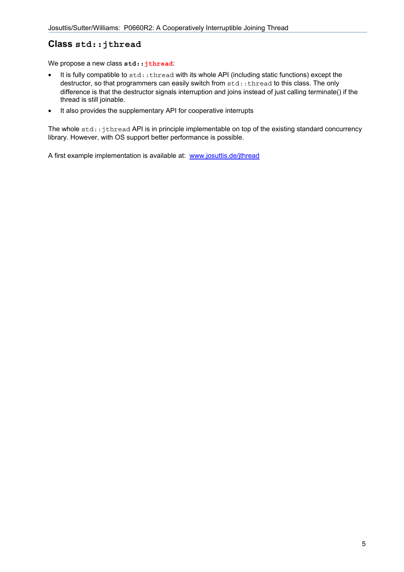# **Class std::jthread**

We propose a new class std:: jthread:

- It is fully compatible to std::thread with its whole API (including static functions) except the destructor, so that programmers can easily switch from  $std:$ : thread to this class. The only difference is that the destructor signals interruption and joins instead of just calling terminate() if the thread is still joinable.
- It also provides the supplementary API for cooperative interrupts

The whole  $std:$ : jthread API is in principle implementable on top of the existing standard concurrency library. However, with OS support better performance is possible.

A first example implementation is available at: www.josuttis.de/jthread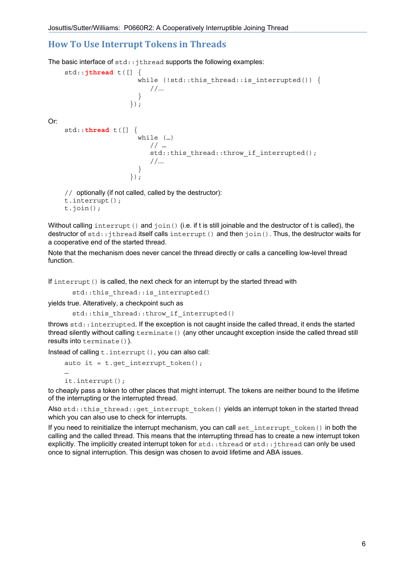# **How To Use Interrupt Tokens in Threads**

The basic interface of  $std:$ : $j$ thread supports the following examples:

```
 std::jthread t([] { 
                      while (!std::this thread::is interrupted()) {
                          //...
 } 
                     }); 
Or: 
     std::thread t([] { 
                       while (…) 
                          // … 
                         std::this_thread::throw if interrupted();
                          //...
 } 
                    \});
     // optionally (if not called, called by the destructor):
     t.interrupt();
```
t.join();

Without calling interrupt() and  $\overline{\text{join}}$ () (i.e. if t is still joinable and the destructor of t is called), the destructor of std::jthread itself calls interrupt() and then join(). Thus, the destructor waits for a cooperative end of the started thread.

Note that the mechanism does never cancel the thread directly or calls a cancelling low-level thread function.

If interrupt() is called, the next check for an interrupt by the started thread with

```
std::this thread::is interrupted()
```
yields true. Alteratively, a checkpoint such as

```
std::this thread::throw if interrupted()
```
throws std::interrupted. If the exception is not caught inside the called thread, it ends the started thread silently without calling terminate() (any other uncaught exception inside the called thread still results into terminate()).

Instead of calling t.interrupt(), you can also call:

```
auto it = t.get interrupt token();
 … 
    it.interrupt();
```
to cheaply pass a token to other places that might interrupt. The tokens are neither bound to the lifetime of the interrupting or the interrupted thread.

Also std::this thread::get interrupt token() yields an interrupt token in the started thread which you can also use to check for interrupts.

If you need to reinitialize the interrupt mechanism, you can call set\_interrupt\_token() in both the calling and the called thread. This means that the interrupting thread has to create a new interrupt token explicitly. The implicitly created interrupt token for std::thread or std::ithread can only be used once to signal interruption. This design was chosen to avoid lifetime and ABA issues.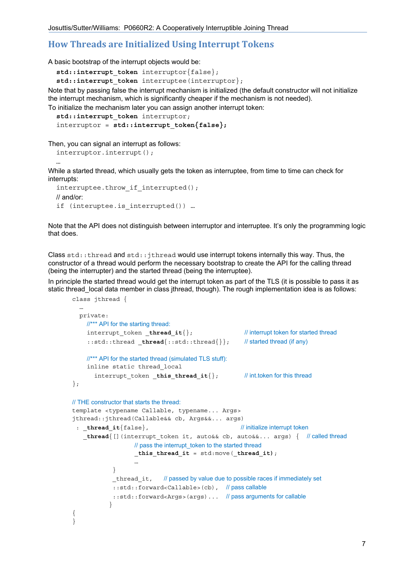## **How Threads are Initialized Using Interrupt Tokens**

A basic bootstrap of the interrupt objects would be:

std::interrupt token interruptor{false};

std::interrupt token interruptee(interruptor);

Note that by passing false the interrupt mechanism is initialized (the default constructor will not initialize the interrupt mechanism, which is significantly cheaper if the mechanism is not needed).

To initialize the mechanism later you can assign another interrupt token:

```
 std::interrupt_token interruptor; 
interruptor = std:: interrupt token{false};
```
Then, you can signal an interrupt as follows:

```
 interruptor.interrupt();
```
class jthread {

…

While a started thread, which usually gets the token as interruptee, from time to time can check for interrupts:

```
interruptee.throw if interrupted();
 // and/or: 
if (interuptee.is interrupted()) …
```
Note that the API does not distinguish between interruptor and interruptee. It's only the programming logic that does.

Class std::thread and std::jthread would use interrupt tokens internally this way. Thus, the constructor of a thread would perform the necessary bootstrap to create the API for the calling thread (being the interrupter) and the started thread (being the interruptee).

In principle the started thread would get the interrupt token as part of the TLS (it is possible to pass it as static thread local data member in class jthread, though). The rough implementation idea is as follows:

```
 … 
   private: 
     //*** API for the starting thread:
    interrupt token thread it{}; // // interrupt token for started thread
    ::std::thread thread{::std::thread{}}; // started thread (if any)
     //*** API for the started thread (simulated TLS stuff):
     inline static thread_local 
      interrupt token this thread it\{\}; // int.token for this thread
}; 
// THE constructor that starts the thread: 
template <typename Callable, typename... Args> 
jthread::jthread(Callable&& cb, Args&&... args) 
 : thread it{false}, // initialize interrupt token
   thread{[](interrupt token it, auto&& cb, auto&&\&... args) \{ // called thread
                  // pass the interrupt token to the started thread
                   _this_thread_it = std:move(_thread_it); 
 … 
 } 
            thread it, // passed by value due to possible races if immediately set
             ::std::forward<Callable>(cb), // pass callable
             ::std::forward<Args>(args)... // pass arguments for callable
 } 
{ 
}
```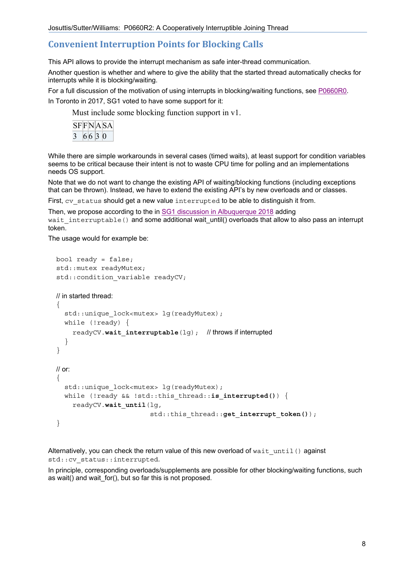# **Convenient Interruption Points for Blocking Calls**

This API allows to provide the interrupt mechanism as safe inter-thread communication.

Another question is whether and where to give the ability that the started thread automatically checks for interrupts while it is blocking/waiting.

For a full discussion of the motivation of using interrupts in blocking/waiting functions, see P0660R0.

In Toronto in 2017, SG1 voted to have some support for it:

Must include some blocking function support in v1.

|  |      | SFFNASA |
|--|------|---------|
|  | 6630 |         |

While there are simple workarounds in several cases (timed waits), at least support for condition variables seems to be critical because their intent is not to waste CPU time for polling and an implementations needs OS support.

Note that we do not want to change the existing API of waiting/blocking functions (including exceptions that can be thrown). Instead, we have to extend the existing API's by new overloads and or classes.

First, cv status should get a new value interrupted to be able to distinguish it from.

Then, we propose according to the in SG1 discussion in Albuquerque 2018 adding

wait interruptable() and some additional wait until() overloads that allow to also pass an interrupt token.

The usage would for example be:

```
 bool ready = false; 
 std::mutex readyMutex; 
std:: condition variable readyCV;
 // in started thread: 
\left\{ \right.std::unique lock<mutex> lg(readyMutex);
   while (!ready) { 
      readyCV.wait_interruptable(lg); // throws if interrupted
   } 
 } 
 // or: 
 { 
  std::unique lock<mutex> lg(readyMutex);
  while (!ready && !std::this thread::is interrupted()) {
      readyCV.wait_until(lg, 
                           std::this thread::get interrupt token());
 }
```
Alternatively, you can check the return value of this new overload of wait  $unit()$  against std::cv\_status::interrupted.

In principle, corresponding overloads/supplements are possible for other blocking/waiting functions, such as wait() and wait\_for(), but so far this is not proposed.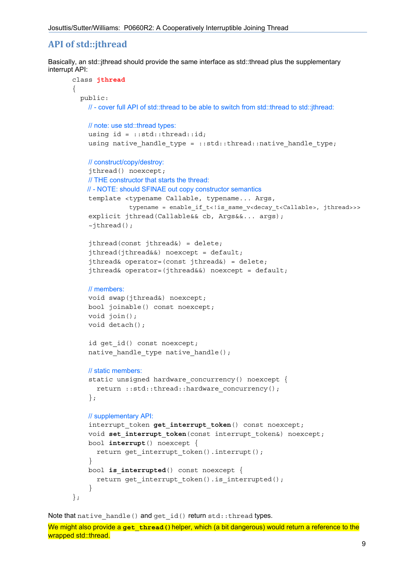# **API of std::jthread**

Basically, an std::jthread should provide the same interface as std::thread plus the supplementary interrupt API:

```
class jthread
{ 
   public: 
     // - cover full API of std::thread to be able to switch from std::thread to std::jthread:
     // note: use std::thread types:
    using id = ::std::thread::id; using native_handle_type = ::std::thread::native_handle_type; 
     // construct/copy/destroy: 
     jthread() noexcept; 
     // THE constructor that starts the thread: 
     // - NOTE: should SFINAE out copy constructor semantics
     template <typename Callable, typename... Args, 
                typename = enable if t<!is same v<decay t<Callable>, jthread>>>
     explicit jthread(Callable&& cb, Args&&... args); 
    ~\simjthread();
     jthread(const jthread&) = delete; 
     jthread(jthread&&) noexcept = default; 
     jthread& operator=(const jthread&) = delete; 
     jthread& operator=(jthread&&) noexcept = default; 
     // members: 
     void swap(jthread&) noexcept; 
     bool joinable() const noexcept; 
     void join(); 
     void detach(); 
    id get id() const noexcept;
    native handle type native handle();
     // static members:
    static unsigned hardware concurrency() noexcept {
       return ::std::thread::hardware_concurrency(); 
     }; 
     // supplementary API:
    interrupt token get interrupt token() const noexcept;
     void set_interrupt_token(const interrupt_token&) noexcept; 
     bool interrupt() noexcept { 
      return get interrupt token().interrupt();
     } 
     bool is_interrupted() const noexcept { 
      return get interrupt token().is interrupted();
     } 
};
```
Note that native handle() and get id() return std:: thread types.

```
We might also provide a get thread () helper, which (a bit dangerous) would return a reference to the
wrapped std::thread.
```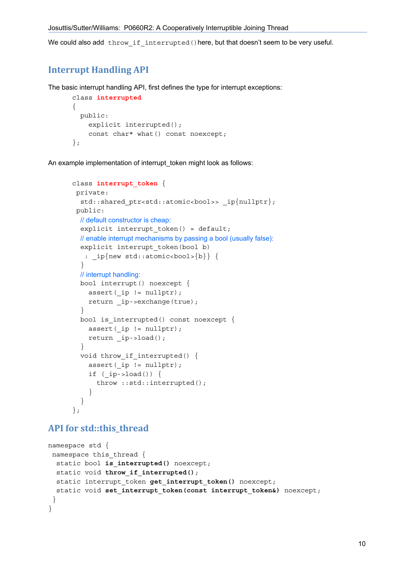We could also add throw if interrupted() here, but that doesn't seem to be very useful.

## **Interrupt Handling API**

The basic interrupt handling API, first defines the type for interrupt exceptions:

```
class interrupted
{ 
  public: 
    explicit interrupted();
    const char* what() const noexcept;
};
```
An example implementation of interrupt token might look as follows:

```
class interrupt_token { 
 private: 
  std::shared ptr<std::atomic<br/>kool>> ip{nullptr};
 public: 
   // default constructor is cheap: 
  explicit interrupt token() = default;
   // enable interrupt mechanisms by passing a bool (usually false):
  explicit interrupt token(bool b)
   : ip{new std:atomic<bool>{b}} {
   } 
   // interrupt handling:
   bool interrupt() noexcept { 
    assert( ip != nullptr);
    return ip->exchange(true);
   } 
  bool is interrupted() const noexcept {
    assert(ip != nullptr);
     return _ip->load(); 
   } 
  void throw if interrupted() {
    assert(ip != nullptr);
    if (ip->load()) {
       throw ::std::interrupted(); 
     } 
   } 
};
```
## **API for std::this\_thread**

```
namespace std { 
 namespace this thread {
  static bool is interrupted() noexcept;
  static void throw if interrupted();
  static interrupt token get interrupt token() noexcept;
  static void set interrupt token(const interrupt token&) noexcept;
  } 
}
```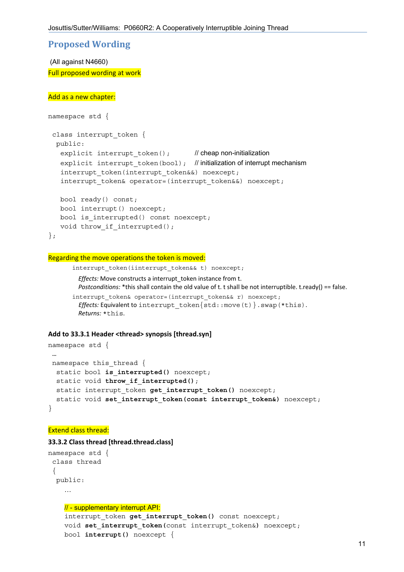## **Proposed Wording**

 (All against N4660) Full proposed wording at work

#### Add as a new chapter:

```
namespace std { 
  class interrupt_token { 
   public: 
   explicit interrupt token(); \frac{1}{2} // cheap non-initialization
   explicit interrupt token(bool); // initialization of interrupt mechanism
   interrupt token(interrupt token&&) noexcept;
   interrupt token& operator=(interrupt token&&) noexcept;
    bool ready() const; 
    bool interrupt() noexcept; 
   bool is interrupted() const noexcept;
   void throw if interrupted();
```

```
};
```
#### Regarding the move operations the token is moved:

```
interrupt token(iinterrupt token&& t) noexcept;
   Effects: Move constructs a interrupt_token instance from t. 
  Postconditions: *this shall contain the old value of t. t shall be not interruptible. t.ready() == false.
interrupt token& operator=(interrupt token&& r) noexcept;
```

```
Effects: Equivalent to interrupt token{std::move(t)}.swap(*this).
 Returns: *this.
```
#### **Add to 33.3.1 Header <thread> synopsis [thread.syn]**

```
namespace std { 
  … 
namespace this thread {
 static bool is interrupted() noexcept;
 static void throw if interrupted();
 static interrupt token get interrupt token() noexcept;
  static void set interrupt token(const interrupt token&) noexcept;
}
```
### Extend class thread:

#### **33.3.2 Class thread [thread.thread.class]**

```
namespace std { 
  class thread 
  { 
   public: 
     …
     // - supplementary interrupt API: 
    interrupt token get interrupt token() const noexcept;
     void set_interrupt_token(const interrupt_token&) noexcept; 
     bool interrupt() noexcept {
```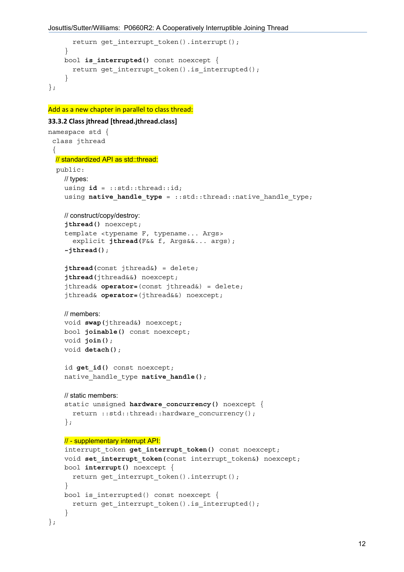```
return get interrupt token().interrupt();
     } 
     bool is_interrupted() const noexcept { 
       return get_interrupt_token().is_interrupted(); 
     } 
};
```
Add as a new chapter in parallel to class thread:

```
33.3.2 Class jthread [thread.jthread.class]
namespace std { 
  class jthread 
  { 
   // standardized API as std::thread: 
   public: 
     // types: 
     using id = ::std::thread::id; 
    using native handle type = ::std::thread::native handle type;
     // construct/copy/destroy: 
     jthread() noexcept; 
     template <typename F, typename... Args> 
        explicit jthread(F&& f, Args&&... args); 
     ~jthread(); 
     jthread(const jthread&) = delete; 
     jthread(jthread&&) noexcept; 
     jthread& operator=(const jthread&) = delete; 
     jthread& operator=(jthread&&) noexcept; 
     // members: 
     void swap(jthread&) noexcept; 
     bool joinable() const noexcept; 
     void join(); 
     void detach(); 
    id get id() const noexcept;
    native handle type native handle();
     // static members:
     static unsigned hardware_concurrency() noexcept { 
       return ::std::thread::hardware_concurrency(); 
     }; 
     // - supplementary interrupt API: 
     interrupt_token get_interrupt_token() const noexcept; 
    void set interrupt token(const interrupt token&) noexcept;
     bool interrupt() noexcept { 
      return get interrupt token().interrupt();
     } 
    bool is interrupted() const noexcept {
      return get interrupt token().is interrupted();
     } 
};
```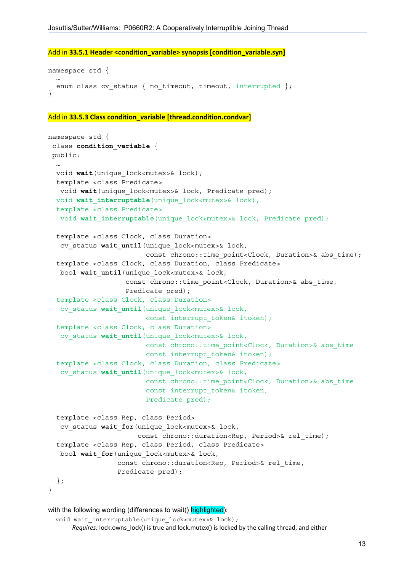```
Add in 33.5.1 Header <condition_variable> synopsis [condition_variable.syn] 
namespace std { 
 … 
  enum class cv status { no timeout, timeout, interrupted };
} 
Add in 33.5.3 Class condition_variable [thread.condition.condvar]
namespace std { 
  class condition_variable { 
  public: 
 …
```

```
 void wait(unique_lock<mutex>& lock); 
  template <class Predicate> 
   void wait(unique_lock<mutex>& lock, Predicate pred); 
 void wait interruptable (unique lock<mutex>& lock);
   template <class Predicate> 
  void wait interruptable(unique lock<mutex>& lock, Predicate pred);
   template <class Clock, class Duration> 
   cv_status wait_until(unique_lock<mutex>& lock, 
                         const chrono::time point<Clock, Duration>& abs time);
   template <class Clock, class Duration, class Predicate> 
   bool wait_until(unique_lock<mutex>& lock, 
                   const chrono:: time point<Clock, Duration>& abs time,
                    Predicate pred); 
   template <class Clock, class Duration> 
   cv_status wait_until(unique_lock<mutex>& lock, 
                         const interrupt token& itoken);
   template <class Clock, class Duration> 
   cv_status wait_until(unique_lock<mutex>& lock, 
                         const chrono::time point<Clock, Duration>& abs time
                         const interrupt token& itoken);
   template <class Clock, class Duration, class Predicate> 
    cv_status wait_until(unique_lock<mutex>& lock, 
                         const chrono::time point<Clock, Duration>& abs time
                          const interrupt_token& itoken, 
                          Predicate pred); 
   template <class Rep, class Period> 
  cv status wait for (unique lock<mutex>& lock,
                      const chrono::duration<Rep, Period>& rel time);
   template <class Rep, class Period, class Predicate> 
    bool wait_for(unique_lock<mutex>& lock, 
                  const chrono::duration<Rep, Period>& rel_time, 
                  Predicate pred); 
   }; 
}
```

```
with the following wording (differences to wait() highlighted):
```

```
void wait interruptable(unique lock<mutex>& lock);
     Requires: lock.owns_lock() is true and lock.mutex() is locked by the calling thread, and either
```